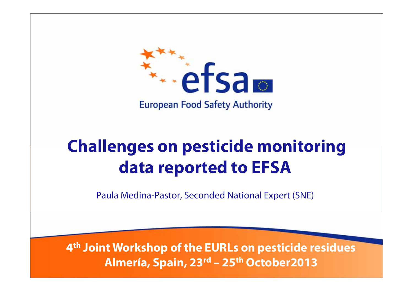

# **Challenges on pesticide monitoring data reported to EFSA**

Paula Medina-Pastor, Seconded National Expert (SNE)

**4th Joint Workshop of the EURLs on pesticide residues Almería, Spain, 23rd – 25th October2013**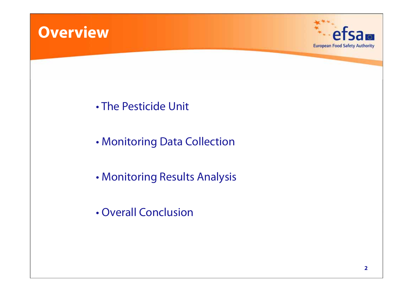



- The Pesticide Unit
- •Monitoring Data Collection
- •Monitoring Results Analysis
- Overall Conclusion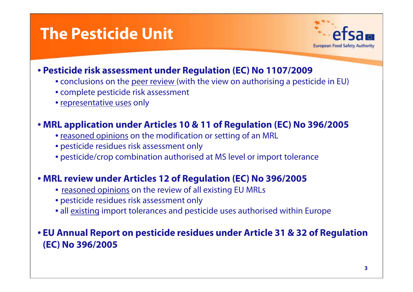## **The Pesticide Unit**



#### • **Pesticide risk assessment under Regulation (EC) No 1107/2009**

- conclusions on the <u>peer review (</u>with the view on authorising a pesticide in EU)
- complete pesticide risk assessment
- <u>representative uses</u> only

#### • **MRL application under Articles 10 & 11 of Regulation (EC) No 396/2005**

- reasoned opinions on the modification or setting of an MRL
- pesticide residues risk assessment only
- pesticide/crop combination authorised at MS level or import tolerance

#### • **MRL review under Articles 12 of Regulation (EC) No 396/2005**

- reasoned opinions on the review of all existing EU MRLs
- pesticide residues risk assessment only
- all existing import tolerances and pesticide uses authorised within Europe

#### • **EU Annual Report on pesticide residues under Article 31 & 32 of Regulation (EC) No 396/2005**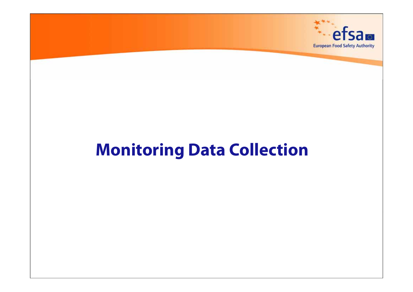

# **Monitoring Data Collection**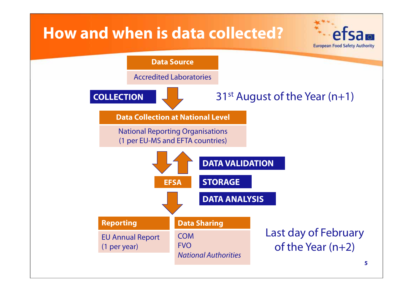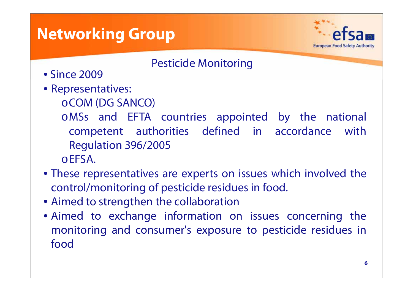## **Networking Group**



Pesticide Monitoring

- Since 2009
- Representatives:
	- <sup>o</sup>COM (DG SANCO)
	- <sup>o</sup>MSs and EFTA countries appointed by the national competent authorities defined in accordance with Regulation 396/2005 <sup>o</sup>EFSA.
- These representatives are experts on issues which involved the control/monitoring of pesticide residues in food.
- Aimed to strengthen the collaboration
- Aimed to exchange information on issues concerning the monitoring and consumer's exposure to pesticide residues in food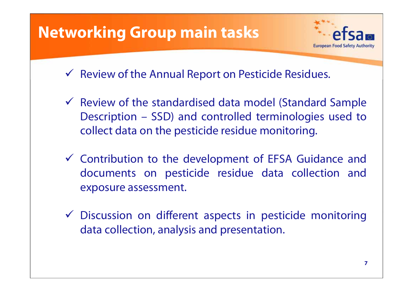

 Discussion on different aspects in pesticide monitoring data collection, analysis and presentation.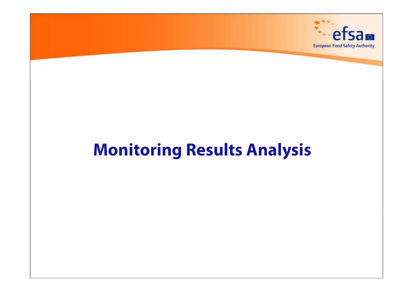

# **Monitoring Results Analysis**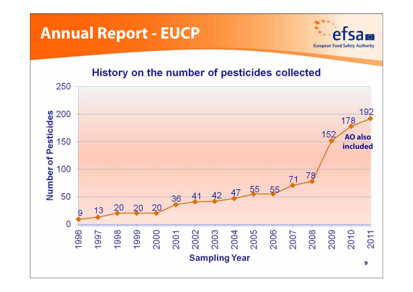### **Annual Report - EUCP**



#### History on the number of pesticides collected

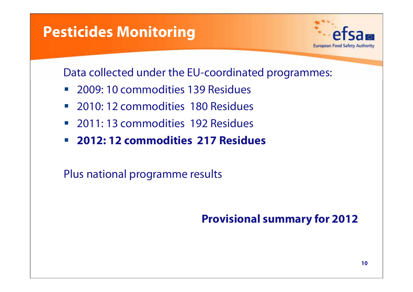### **Pesticides Monitoring**



Data collected under the EU-coordinated programmes:

- $\mathcal{L}_{\mathcal{A}}$ 2009: 10 commodities 139 Residues
- $\mathcal{L}_{\mathcal{A}}$ 2010: 12 commodities 180 Residues
- 2011: 13 commodities 192 Residues
- $\mathcal{L}_{\mathcal{A}}$ **2012: 12 commodities 217 Residues**

Plus national programme results

### **Provisional summary for 2012**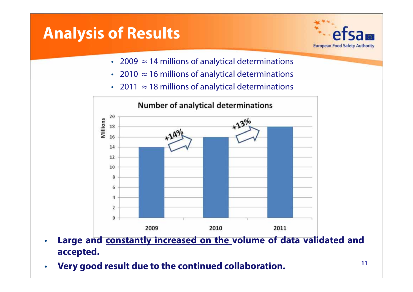# **Analysis of Results**



- 2009  $\approx$  14 millions of analytical determinations
- 2010  $\approx$  16 millions of analytical determinations
- 2011 ≈ 18 millions of analytical determinations



- • **Large and constantly increased on the volume of data validated and accepted.**
- •**Very good result due to the continued collaboration.**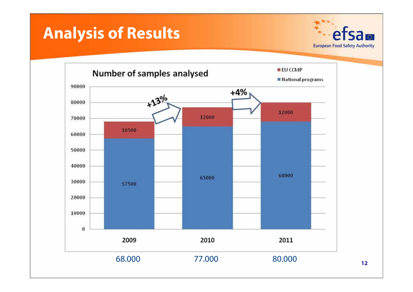# **Analysis of Results**



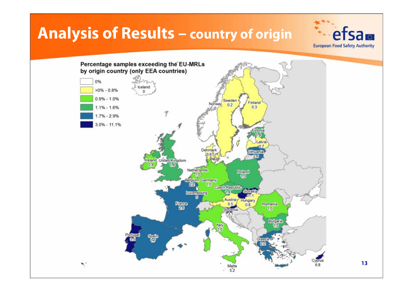### **Analysis of Results – country of origin**



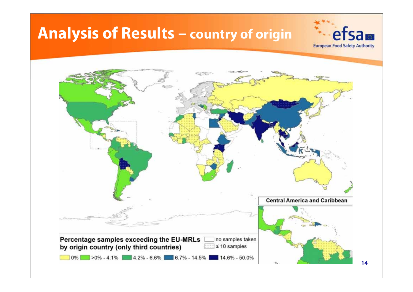# **Analysis of Results – country of origin**



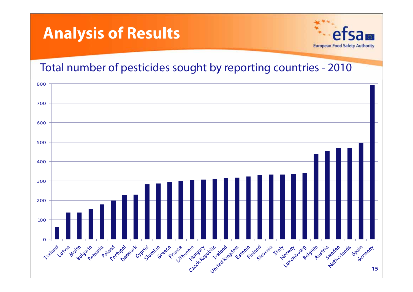



Total number of pesticides sought by reporting countries - 2010

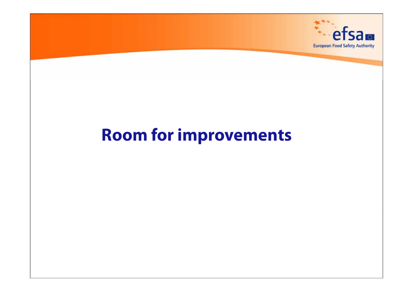

# **Room for improvements**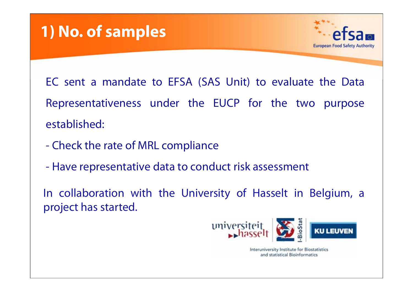## **1) No. of samples**



EC sent <sup>a</sup> mandate to EFSA (SAS Unit) to evaluate the Data Representativeness under the EUCP for the two purpose established:

- -Check the rate of MRL compliance
- Have representative data to conduct risk assessment

In collaboration with the University of Hasselt in Belgium, <sup>a</sup> project has started.



Interuniversity Institute for Biostatistics and statistical Bioinformatics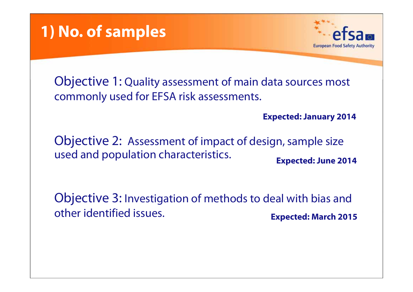



Objective 1: Quality assessment of main data sources most commonly used for EFSA risk assessments.

**Expected: January 2014**

Objective 2: Assessment of impact of design, sample size used and population characteristics. **Expected: June 2014**

Objective 3: Investigation of methods to deal with bias and other identified issues. **Expected: March 2015**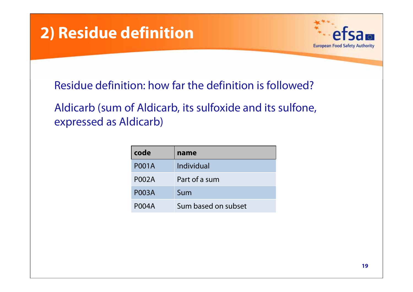



Residue definition: how far the definition is followed?

Aldicarb (sum of Aldicarb, its sulfoxide and its sulfone, expressed as Aldicarb)

| code         | name                |
|--------------|---------------------|
| <b>P001A</b> | Individual          |
| <b>P002A</b> | Part of a sum       |
| <b>P003A</b> | Sum                 |
| <b>P004A</b> | Sum based on subset |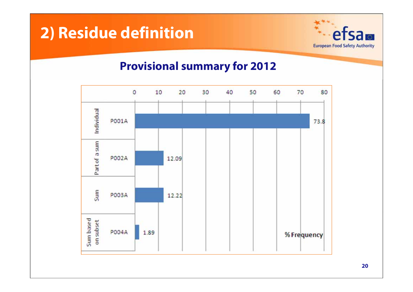## **2) Residue definition**



#### **Provisional summary for 2012**

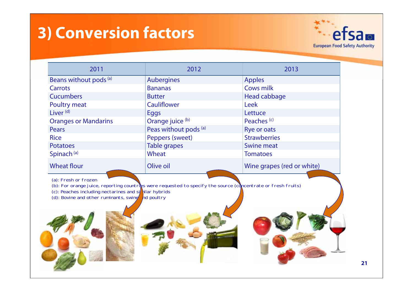# **3) Conversion factors**



| 2012                  | 2013                       |
|-----------------------|----------------------------|
| <b>Aubergines</b>     | <b>Apples</b>              |
| <b>Bananas</b>        | Cows milk                  |
| <b>Butter</b>         | Head cabbage               |
| <b>Cauliflower</b>    | <b>Leek</b>                |
| Eggs                  | Lettuce                    |
| Orange juice (b)      | Peaches <sup>(c)</sup>     |
| Peas without pods (a) | Rye or oats                |
| Peppers (sweet)       | <b>Strawberries</b>        |
| Table grapes          | <b>Swine meat</b>          |
| Wheat                 | <b>Tomatoes</b>            |
| Olive oil             | Wine grapes (red or white) |
|                       |                            |

(a): Fresh or frozen

(b): For orange juice, reporting countries were requested to specify the source (concentrate or fresh fruits)

(c): Peaches including nectarines and similar hybrids (d): Bovine and other ruminants, swine  $\frac{1}{2}$ nd poultry

 $(d)$ : Bovine and other ruminants, swine





**21**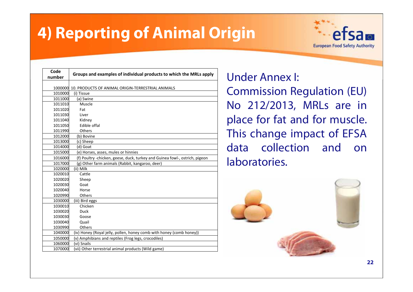# **4) Reporting of Animal Origin**



| Code<br>number | Groups and examples of individual products to which the MRLs apply          |
|----------------|-----------------------------------------------------------------------------|
|                |                                                                             |
|                | 1000000 10. PRODUCTS OF ANIMAL ORIGIN-TERRESTRIAL ANIMALS                   |
| 1010000        | (i) Tissue                                                                  |
| 1011000        | (a) Swine                                                                   |
| 1011010        | Muscle                                                                      |
| 1011020        | Fat                                                                         |
| 1011030        | Liver                                                                       |
| 1011040        | Kidney                                                                      |
| 1011050        | Edible offal                                                                |
| 1011990        | Others                                                                      |
| 1012000        | (b) Bovine                                                                  |
| 1013000        | (c) Sheep                                                                   |
| 1014000        | (d) Goat                                                                    |
| 1015000        | (e) Horses, asses, mules or hinnies                                         |
| 1016000        | (f) Poultry -chicken, geese, duck, turkey and Guinea fowl-, ostrich, pigeon |
| 1017000        | (g) Other farm animals (Rabbit, kangaroo, deer)                             |
| 1020000        | (ii) Milk                                                                   |
| 1020010        | Cattle                                                                      |
| 1020020        | Sheep                                                                       |
| 1020030        | Goat                                                                        |
| 1020040        | Horse                                                                       |
| 1020990        | Others                                                                      |
| 1030000        | (iii) Bird eggs                                                             |
| 1030010        | Chicken                                                                     |
| 1030020        | <b>Duck</b>                                                                 |
| 1030030        | Goose                                                                       |
| 1030040        | Quail                                                                       |
| 1030990        | Others                                                                      |
| 1040000        | (iv) Honey (Royal jelly, pollen, honey comb with honey (comb honey))        |
| 1050000        | (v) Amphibians and reptiles (Frog legs, crocodiles)                         |
| 1060000        | (vi) Snails                                                                 |
| 1070000        | (vii) Other terrestrial animal products (Wild game)                         |

Under Annex I: Commission Regulation (EU) No 212/2013, MRLs are in place for fat and for muscle. This change impact of EFSA data collection and onlaboratories.

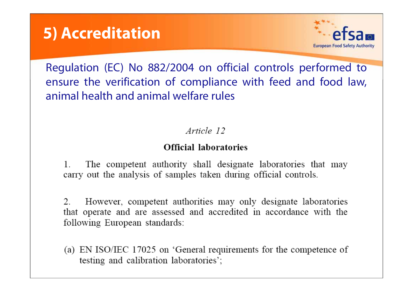



Regulation (EC) No 882/2004 on official controls performed to ensure the verification of compliance with feed and food law, animal health and animal welfare rules

Article 12

#### **Official laboratories**

 $\mathbf{1}$ . The competent authority shall designate laboratories that may carry out the analysis of samples taken during official controls.

However, competent authorities may only designate laboratories  $\mathcal{L}$ that operate and are assessed and accredited in accordance with the following European standards:

(a) EN ISO/IEC 17025 on 'General requirements for the competence of testing and calibration laboratories';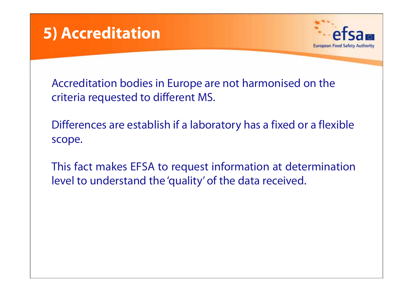



Accreditation bodies in Europe are not harmonised on the criteria requested to different MS.

Differences are establish if a laboratory has a fixed or a flexible scope.

This fact makes EFSA to request information at determination level to understand the 'quality' of the data received.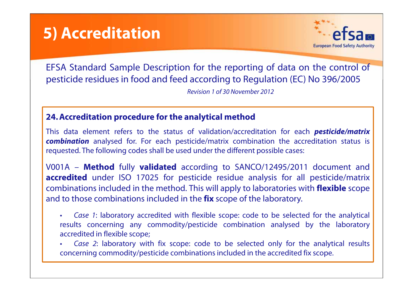## **5) Accreditation**



EFSA Standard Sample Description for the reporting of data on the control of pesticide residues in food and feed according to Regulation (EC) No 396/2005

Revision 1 of 30 November 2012

#### **24. Accreditation procedure for the analytical method**

This data element refers to the status of validation/accreditation for each **pesticide/matrix combination** analysed for. For each pesticide/matrix combination the accreditation status is requested. The following codes shall be used under the different possible cases:

V001A – **Method** fully **validated** according to SANCO/12495/2011 document and **accredited** under ISO 17025 for pesticide residue analysis for all pesticide/matrix combinations included in the method. This will apply to laboratories with **flexible** scope and to those combinations included in the **fix** scope of the laboratory.

- • Case <sup>1</sup>: laboratory accredited with flexible scope: code to be selected for the analytical results concerning any commodity/pesticide combination analysed by the laboratory accredited in flexible scope;
- • Case 2: laboratory with fix scope: code to be selected only for the analytical results concerning commodity/pesticide combinations included in the accredited fix scope.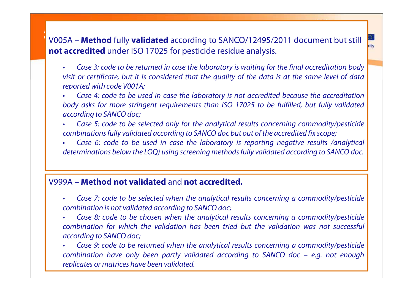### **5)**<br>V005A – **Method** fully **validated** according to SANCO/12495/2011 document but still **not accredited** under ISO 17025 for pesticide residue analysis.

- • Case 3: code to be returned in case the laboratory is waiting for the final accreditation body visit or certificate, but it is considered that the quality of the data is at the same level of data reported with code V001A;
- • Case 4: code to be used in case the laboratory is not accredited because the accreditation body asks for more stringent requirements than ISO 17025 to be fulfilled, but fully validated according to SANCO doc;
- • Case 5: code to be selected only for the analytical results concerning commodity/pesticide combinations fully validated according to SANCO doc but out of the accredited fix scope;
- • Case 6: code to be used in case the laboratory is reporting negative results /analytical determinations below the LOQ) using screening methods fully validated according to SANCO doc.

#### V999A – **Method not validated** and **not accredited.**

- • Case 7: code to be selected when the analytical results concerning <sup>a</sup> commodity/pesticide combination is not validated according to SANCO doc;
- • Case 8: code to be chosen when the analytical results concerning <sup>a</sup> commodity/pesticide combination for which the validation has been tried but the validation was not successfulaccording to SANCO doc;
- • Case 9: code to be returned when the analytical results concerning <sup>a</sup> commodity/pesticide combination have only been partly validated according to SANCO doc – e.g. not enough replicates or matrices have been validated.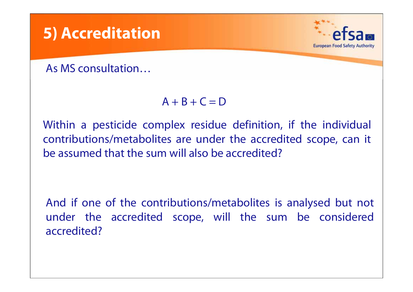

#### $A + B + C = D$

Within <sup>a</sup> pesticide complex residue definition, if the individual contributions/metabolites are under the accredited scope, can it be assumed that the sum will also be accredited?

And if one of the contributions/metabolites is analysed but not under the accredited scope, will the sum be considered accredited?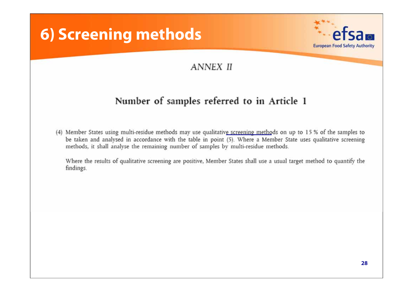## **6) Screening methods**



#### **ANNEX II**

#### Number of samples referred to in Article 1

(4) Member States using multi-residue methods may use qualitative screening methods on up to 15 % of the samples to be taken and analysed in accordance with the table in point (5). Where a Member State uses qualitative screening methods, it shall analyse the remaining number of samples by multi-residue methods.

Where the results of qualitative screening are positive, Member States shall use a usual target method to quantify the findings.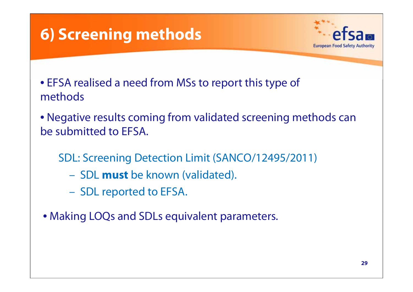# **6) Screening methods**



- EFSA realised a need from MSs to report this type of methods
- Negative results coming from validated screening methods can be submitted to EFSA.
	- SDL: Screening Detection Limit (SANCO/12495/2011)
		- SDL **must** be known (validated).
		- SDL reported to EFSA.
- Making LOQs and SDLs equivalent parameters.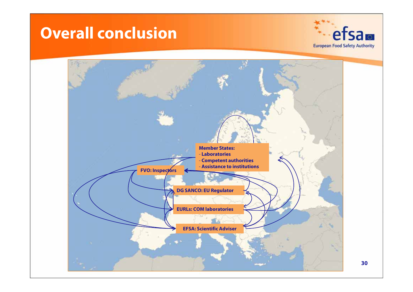## **Overall conclusion**



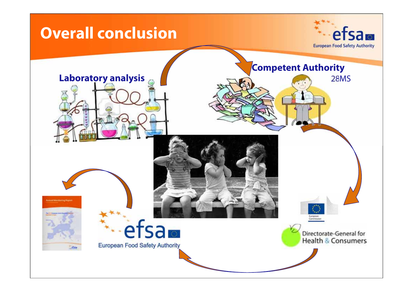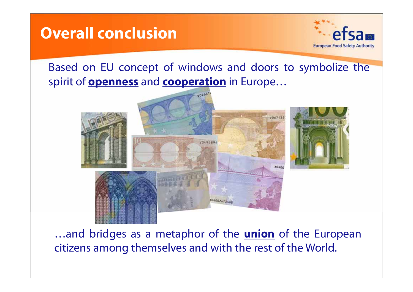## **Overall conclusion**



### Based on EU concept of windows and doors to symbolize the spirit of **openness** and **cooperation** in Europe…



…and bridges as <sup>a</sup> metaphor of the **union** of the European citizens among themselves and with the rest of the World.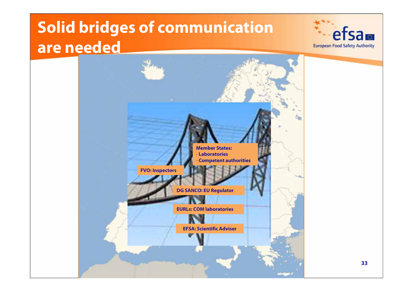# **Solid bridges of communication are needed**